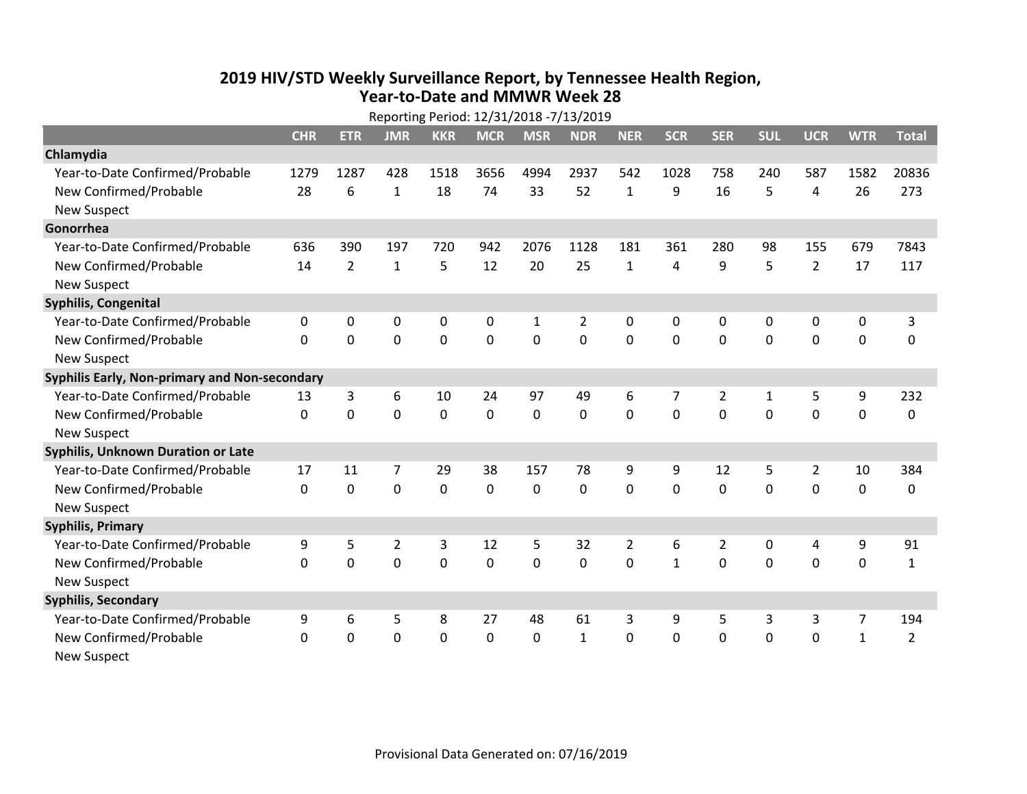## **2019 HIV /STD Weekly Surveillance Report, by Tennessee Health Region, Year‐to‐Date and MMWR Week 28** Reporting Period: 12/31/2018 ‐7/13/2019

| Reporting Period: 12/31/2018 -7/13/2019       |            |                |                |             |              |            |                |                |              |                |              |                |                |                |
|-----------------------------------------------|------------|----------------|----------------|-------------|--------------|------------|----------------|----------------|--------------|----------------|--------------|----------------|----------------|----------------|
|                                               | <b>CHR</b> | <b>ETR</b>     | <b>JMR</b>     | <b>KKR</b>  | <b>MCR</b>   | <b>MSR</b> | <b>NDR</b>     | <b>NER</b>     | <b>SCR</b>   | <b>SER</b>     | <b>SUL</b>   | <b>UCR</b>     | <b>WTR</b>     | <b>Total</b>   |
| Chlamydia                                     |            |                |                |             |              |            |                |                |              |                |              |                |                |                |
| Year-to-Date Confirmed/Probable               | 1279       | 1287           | 428            | 1518        | 3656         | 4994       | 2937           | 542            | 1028         | 758            | 240          | 587            | 1582           | 20836          |
| New Confirmed/Probable                        | 28         | 6              | $\mathbf{1}$   | 18          | 74           | 33         | 52             | $\mathbf{1}$   | 9            | 16             | 5            | 4              | 26             | 273            |
| <b>New Suspect</b>                            |            |                |                |             |              |            |                |                |              |                |              |                |                |                |
| Gonorrhea                                     |            |                |                |             |              |            |                |                |              |                |              |                |                |                |
| Year-to-Date Confirmed/Probable               | 636        | 390            | 197            | 720         | 942          | 2076       | 1128           | 181            | 361          | 280            | 98           | 155            | 679            | 7843           |
| New Confirmed/Probable                        | 14         | $\overline{2}$ | $\mathbf{1}$   | 5           | 12           | 20         | 25             | $\mathbf{1}$   | 4            | 9              | 5            | $\overline{2}$ | 17             | 117            |
| <b>New Suspect</b>                            |            |                |                |             |              |            |                |                |              |                |              |                |                |                |
| <b>Syphilis, Congenital</b>                   |            |                |                |             |              |            |                |                |              |                |              |                |                |                |
| Year-to-Date Confirmed/Probable               | 0          | 0              | $\mathbf 0$    | 0           | 0            | 1          | $\overline{2}$ | 0              | 0            | 0              | 0            | 0              | 0              | 3              |
| New Confirmed/Probable                        | $\Omega$   | 0              | $\mathbf 0$    | 0           | 0            | 0          | 0              | $\Omega$       | 0            | 0              | $\mathbf 0$  | $\mathbf 0$    | $\mathbf 0$    | 0              |
| <b>New Suspect</b>                            |            |                |                |             |              |            |                |                |              |                |              |                |                |                |
| Syphilis Early, Non-primary and Non-secondary |            |                |                |             |              |            |                |                |              |                |              |                |                |                |
| Year-to-Date Confirmed/Probable               | 13         | 3              | 6              | 10          | 24           | 97         | 49             | 6              | 7            | $\overline{2}$ | $\mathbf{1}$ | 5              | 9              | 232            |
| New Confirmed/Probable                        | $\Omega$   | 0              | 0              | 0           | 0            | 0          | 0              | $\Omega$       | 0            | $\mathbf 0$    | 0            | $\mathbf 0$    | $\mathbf 0$    | 0              |
| <b>New Suspect</b>                            |            |                |                |             |              |            |                |                |              |                |              |                |                |                |
| <b>Syphilis, Unknown Duration or Late</b>     |            |                |                |             |              |            |                |                |              |                |              |                |                |                |
| Year-to-Date Confirmed/Probable               | 17         | 11             | 7              | 29          | 38           | 157        | 78             | 9              | 9            | 12             | 5            | $\overline{2}$ | 10             | 384            |
| New Confirmed/Probable                        | $\Omega$   | 0              | $\mathbf 0$    | 0           | 0            | 0          | $\Omega$       | $\Omega$       | $\Omega$     | $\Omega$       | $\mathbf 0$  | 0              | $\mathbf 0$    | 0              |
| <b>New Suspect</b>                            |            |                |                |             |              |            |                |                |              |                |              |                |                |                |
| <b>Syphilis, Primary</b>                      |            |                |                |             |              |            |                |                |              |                |              |                |                |                |
| Year-to-Date Confirmed/Probable               | 9          | 5              | $\overline{2}$ | 3           | 12           | 5          | 32             | $\overline{2}$ | 6            | $\overline{2}$ | 0            | 4              | 9              | 91             |
| New Confirmed/Probable                        | 0          | $\mathbf 0$    | $\mathbf 0$    | $\mathbf 0$ | 0            | 0          | 0              | $\Omega$       | $\mathbf{1}$ | $\mathbf 0$    | $\mathbf 0$  | $\mathbf 0$    | $\mathbf 0$    | $\mathbf{1}$   |
| <b>New Suspect</b>                            |            |                |                |             |              |            |                |                |              |                |              |                |                |                |
| <b>Syphilis, Secondary</b>                    |            |                |                |             |              |            |                |                |              |                |              |                |                |                |
| Year-to-Date Confirmed/Probable               | 9          | 6              | 5              | 8           | 27           | 48         | 61             | 3              | 9            | 5              | 3            | 3              | $\overline{7}$ | 194            |
| New Confirmed/Probable                        | 0          | $\mathbf{0}$   | 0              | 0           | $\mathbf{0}$ | 0          | $\mathbf{1}$   | $\Omega$       | $\Omega$     | $\Omega$       | $\mathbf{0}$ | 0              | $\mathbf{1}$   | $\overline{2}$ |
| <b>New Suspect</b>                            |            |                |                |             |              |            |                |                |              |                |              |                |                |                |